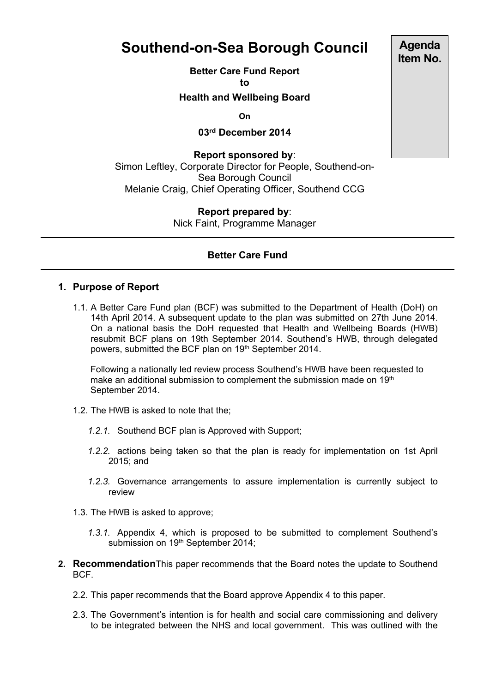## **Southend-on-Sea Borough Council**

**Better Care Fund Report to**

**Health and Wellbeing Board**

**On**

**03rd December 2014**

**Report sponsored by**: Simon Leftley, Corporate Director for People, Southend-on-Sea Borough Council Melanie Craig, Chief Operating Officer, Southend CCG

> **Report prepared by**: Nick Faint, Programme Manager

## **Better Care Fund**

## **1. Purpose of Report**

1.1. A Better Care Fund plan (BCF) was submitted to the Department of Health (DoH) on 14th April 2014. A subsequent update to the plan was submitted on 27th June 2014. On a national basis the DoH requested that Health and Wellbeing Boards (HWB) resubmit BCF plans on 19th September 2014. Southend's HWB, through delegated powers, submitted the BCF plan on 19<sup>th</sup> September 2014.

Following a nationally led review process Southend's HWB have been requested to make an additional submission to complement the submission made on 19<sup>th</sup> September 2014.

- 1.2. The HWB is asked to note that the;
	- *1.2.1.* Southend BCF plan is Approved with Support;
	- *1.2.2.* actions being taken so that the plan is ready for implementation on 1st April 2015; and
	- *1.2.3.* Governance arrangements to assure implementation is currently subject to review
- 1.3. The HWB is asked to approve;
	- *1.3.1.* Appendix 4, which is proposed to be submitted to complement Southend's submission on 19th September 2014;
- **2. Recommendation**This paper recommends that the Board notes the update to Southend BCF.
	- 2.2. This paper recommends that the Board approve Appendix 4 to this paper.
	- 2.3. The Government's intention is for health and social care commissioning and delivery to be integrated between the NHS and local government. This was outlined with the

**Agenda Item No.**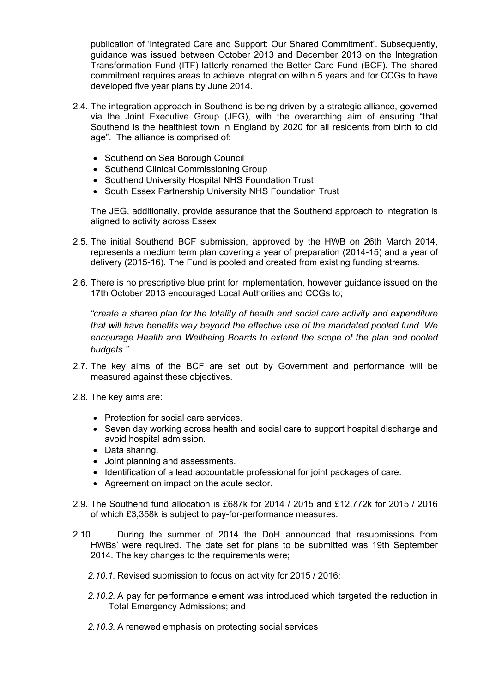publication of 'Integrated Care and Support; Our Shared Commitment'. Subsequently, guidance was issued between October 2013 and December 2013 on the Integration Transformation Fund (ITF) latterly renamed the Better Care Fund (BCF). The shared commitment requires areas to achieve integration within 5 years and for CCGs to have developed five year plans by June 2014.

- 2.4. The integration approach in Southend is being driven by a strategic alliance, governed via the Joint Executive Group (JEG), with the overarching aim of ensuring "that Southend is the healthiest town in England by 2020 for all residents from birth to old age". The alliance is comprised of:
	- Southend on Sea Borough Council
	- Southend Clinical Commissioning Group
	- Southend University Hospital NHS Foundation Trust
	- South Essex Partnership University NHS Foundation Trust

The JEG, additionally, provide assurance that the Southend approach to integration is aligned to activity across Essex

- 2.5. The initial Southend BCF submission, approved by the HWB on 26th March 2014, represents a medium term plan covering a year of preparation (2014-15) and a year of delivery (2015-16). The Fund is pooled and created from existing funding streams.
- 2.6. There is no prescriptive blue print for implementation, however guidance issued on the 17th October 2013 encouraged Local Authorities and CCGs to;

*"create a shared plan for the totality of health and social care activity and expenditure that will have benefits way beyond the effective use of the mandated pooled fund. We encourage Health and Wellbeing Boards to extend the scope of the plan and pooled budgets."*

- 2.7. The key aims of the BCF are set out by Government and performance will be measured against these objectives.
- 2.8. The key aims are:
	- Protection for social care services.
	- Seven day working across health and social care to support hospital discharge and avoid hospital admission.
	- Data sharing.
	- Joint planning and assessments.
	- Identification of a lead accountable professional for joint packages of care.
	- Agreement on impact on the acute sector.
- 2.9. The Southend fund allocation is £687k for 2014 / 2015 and £12,772k for 2015 / 2016 of which £3,358k is subject to pay-for-performance measures.
- 2.10. During the summer of 2014 the DoH announced that resubmissions from HWBs' were required. The date set for plans to be submitted was 19th September 2014. The key changes to the requirements were;
	- *2.10.1.* Revised submission to focus on activity for 2015 / 2016;
	- *2.10.2.* A pay for performance element was introduced which targeted the reduction in Total Emergency Admissions; and
	- *2.10.3.* A renewed emphasis on protecting social services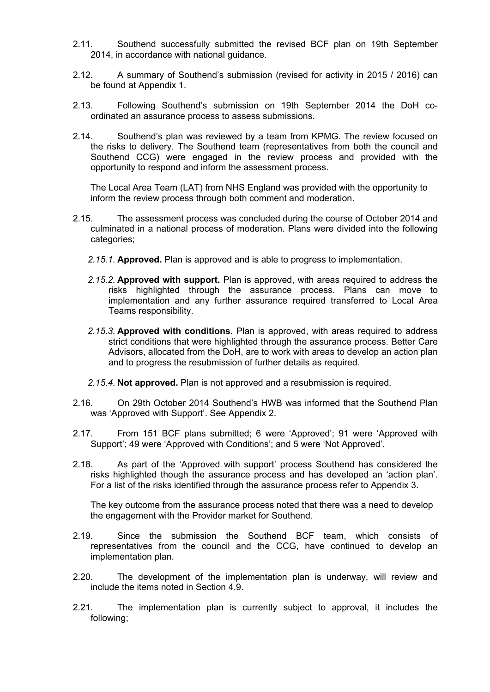- 2.11. Southend successfully submitted the revised BCF plan on 19th September 2014, in accordance with national guidance.
- 2.12. A summary of Southend's submission (revised for activity in 2015 / 2016) can be found at Appendix 1.
- 2.13. Following Southend's submission on 19th September 2014 the DoH coordinated an assurance process to assess submissions.
- 2.14. Southend's plan was reviewed by a team from KPMG. The review focused on the risks to delivery. The Southend team (representatives from both the council and Southend CCG) were engaged in the review process and provided with the opportunity to respond and inform the assessment process.

The Local Area Team (LAT) from NHS England was provided with the opportunity to inform the review process through both comment and moderation.

- 2.15. The assessment process was concluded during the course of October 2014 and culminated in a national process of moderation. Plans were divided into the following categories;
	- *2.15.1.* **Approved.** Plan is approved and is able to progress to implementation.
	- *2.15.2.* **Approved with support.** Plan is approved, with areas required to address the risks highlighted through the assurance process. Plans can move to implementation and any further assurance required transferred to Local Area Teams responsibility.
	- *2.15.3.* **Approved with conditions.** Plan is approved, with areas required to address strict conditions that were highlighted through the assurance process. Better Care Advisors, allocated from the DoH, are to work with areas to develop an action plan and to progress the resubmission of further details as required.
	- *2.15.4.* **Not approved.** Plan is not approved and a resubmission is required.
- 2.16. On 29th October 2014 Southend's HWB was informed that the Southend Plan was 'Approved with Support'. See Appendix 2.
- 2.17. From 151 BCF plans submitted; 6 were 'Approved'; 91 were 'Approved with Support'; 49 were 'Approved with Conditions'; and 5 were 'Not Approved'.
- 2.18. As part of the 'Approved with support' process Southend has considered the risks highlighted though the assurance process and has developed an 'action plan'. For a list of the risks identified through the assurance process refer to Appendix 3.

The key outcome from the assurance process noted that there was a need to develop the engagement with the Provider market for Southend.

- 2.19. Since the submission the Southend BCF team, which consists of representatives from the council and the CCG, have continued to develop an implementation plan.
- 2.20. The development of the implementation plan is underway, will review and include the items noted in Section 4.9.
- 2.21. The implementation plan is currently subject to approval, it includes the following;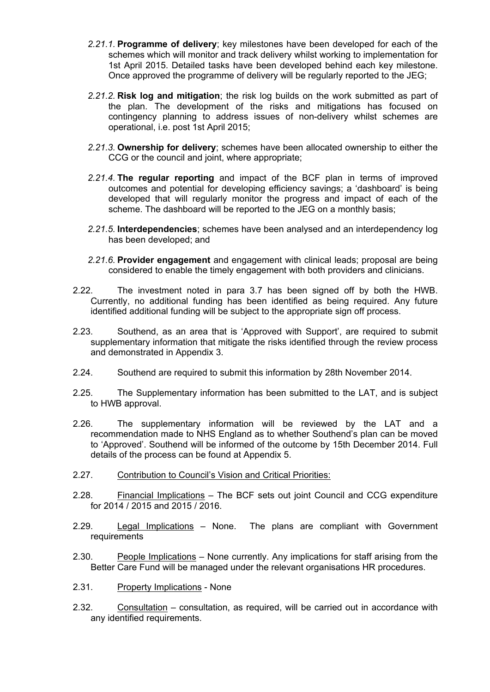- *2.21.1.* **Programme of delivery**; key milestones have been developed for each of the schemes which will monitor and track delivery whilst working to implementation for 1st April 2015. Detailed tasks have been developed behind each key milestone. Once approved the programme of delivery will be regularly reported to the JEG;
- *2.21.2.* **Risk log and mitigation**; the risk log builds on the work submitted as part of the plan. The development of the risks and mitigations has focused on contingency planning to address issues of non-delivery whilst schemes are operational, i.e. post 1st April 2015;
- *2.21.3.* **Ownership for delivery**; schemes have been allocated ownership to either the CCG or the council and joint, where appropriate;
- *2.21.4.* **The regular reporting** and impact of the BCF plan in terms of improved outcomes and potential for developing efficiency savings; a 'dashboard' is being developed that will regularly monitor the progress and impact of each of the scheme. The dashboard will be reported to the JEG on a monthly basis;
- *2.21.5.* **Interdependencies**; schemes have been analysed and an interdependency log has been developed; and
- *2.21.6.* **Provider engagement** and engagement with clinical leads; proposal are being considered to enable the timely engagement with both providers and clinicians.
- 2.22. The investment noted in para 3.7 has been signed off by both the HWB. Currently, no additional funding has been identified as being required. Any future identified additional funding will be subject to the appropriate sign off process.
- 2.23. Southend, as an area that is 'Approved with Support', are required to submit supplementary information that mitigate the risks identified through the review process and demonstrated in Appendix 3.
- 2.24. Southend are required to submit this information by 28th November 2014.
- 2.25. The Supplementary information has been submitted to the LAT, and is subject to HWB approval.
- 2.26. The supplementary information will be reviewed by the LAT and a recommendation made to NHS England as to whether Southend's plan can be moved to 'Approved'. Southend will be informed of the outcome by 15th December 2014. Full details of the process can be found at Appendix 5.
- 2.27. Contribution to Council's Vision and Critical Priorities:
- 2.28. Financial Implications The BCF sets out joint Council and CCG expenditure for 2014 / 2015 and 2015 / 2016.
- 2.29. Legal Implications None. The plans are compliant with Government requirements
- 2.30. People Implications None currently. Any implications for staff arising from the Better Care Fund will be managed under the relevant organisations HR procedures.
- 2.31. Property Implications None
- 2.32. Consultation consultation, as required, will be carried out in accordance with any identified requirements.